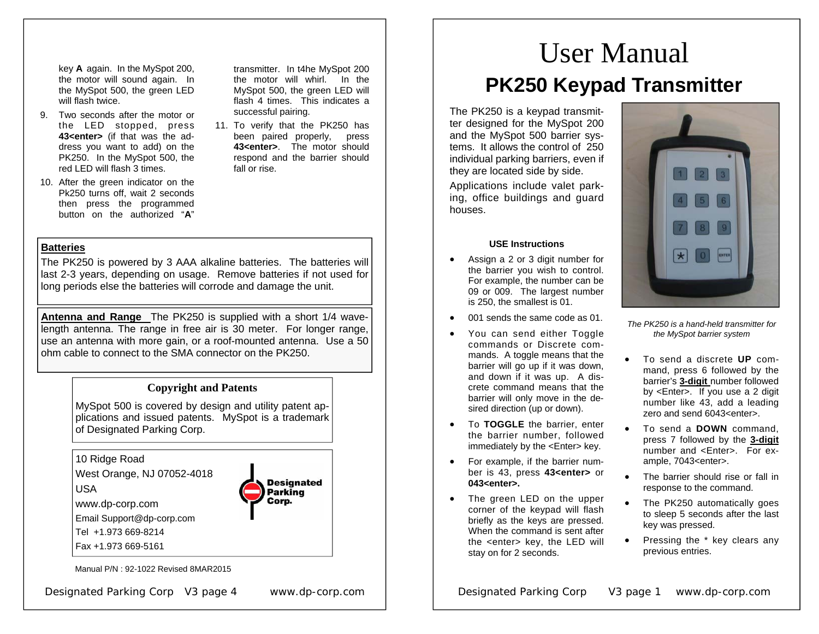key **A** again. In the MySpot 200, the motor will sound again. In the MySpot 500, the green LED will flash twice.

- 9. Two seconds after the motor or the LED stopped, press **43<enter>** (if that was the address you want to add) on the PK250. In the MySpot 500, the red LED will flash 3 times.
- 10. After the green indicator on the Pk250 turns off, wait 2 seconds then press the programmed button on the authorized " **A**"

transmitter. In t4he MySpot 200 the motor will whirl. In the MySpot 500, the green LED will flash 4 times. This indicates a successful pairing.

11. To verify that the PK250 has been paired properly, press **43<enter>**. The motor should respond and the barrier should fall or rise.

## **Batteries**

The PK250 is powered by 3 AAA alkaline batteries. The batteries will last 2-3 years, depending on usage. Remove batteries if not used for long periods else the batteries will corrode and damage the unit.

**Antenna and Range** The PK250 is supplied with a short 1/4 wavelength antenna. The range in free air is 30 meter. For longer range, use an antenna with more gain, or a roof-mounted antenna. Use a 50 ohm cable to connect to the SMA connector on the PK250.

## **Copyright and Patents**

MySpot 500 is covered by design and utility patent applications and issued patents. MySpot is a trademark of Designated Parking Corp.

10 Ridge Road

West Orange, NJ 07052-4018



www.dp-corp.com

Email Support@dp-corp.com

Tel +1.973 669-8214

Fax +1.973 669-5161

Manual P/N : 92-1022 Revised 8MAR2015

Designated Parking Corp V3 page 4 www.dp-corp.com

**Designated** Parking Corp.

# User Manual **PK250 Keypad Transmitter**

The PK250 is a keypad transmitter designed for the MySpot 200 and the MySpot 500 barrier systems. It allows the control of 250 individual parking barriers, even if they are located side by side.

Applications include valet parking, office buildings and guard houses.

#### **USE Instructions**

- Assign a 2 or 3 digit number for the barrier you wish to control. For example, the number can be 09 or 009. The largest number is 250, the smallest is 01.
- 001 sends the same code as 01.
- You can send either Toggle commands or Discrete commands. A toggle means that the barrier will go up if it was down, and down if it was up. A discrete command means that the barrier will only move in the desired direction (up or down).
- To **TOGGLE** the barrier, enter the barrier number, followed immediately by the <Enter> key.
- For example, if the barrier number is 43, press **43<enter>** or **043<enter>.**
- The green LED on the upper corner of the keypad will flash briefly as the keys are pressed. When the command is sent after the <enter> key, the LED will stay on for 2 seconds.



*The PK250 is a hand-held transmitter for the MySpot barrier system* 

- To send a discrete **UP** command, press 6 followed by the barrier's **3-digit** number followed by <Enter>. If you use a 2 digit number like 43, add a leading zero and send 6043<enter>.
- To send a **DOWN** command, press 7 followed by the **3-digit**  number and <Enter>. For example, 7043<enter>.
- The barrier should rise or fall in response to the command.
- The PK250 automatically goes to sleep 5 seconds after the last key was pressed.
- Pressing the \* key clears any previous entries.